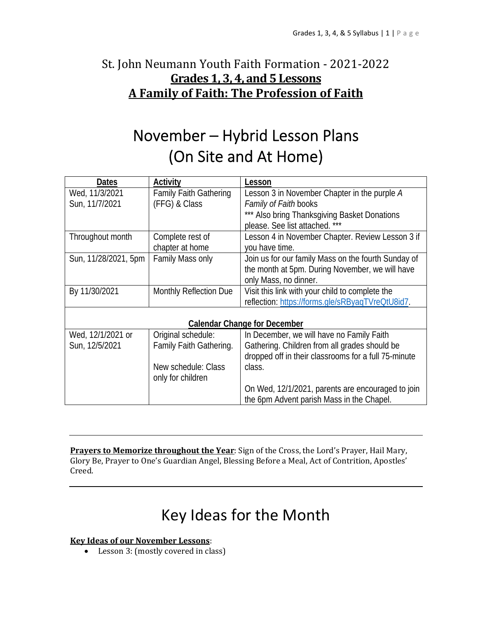## St. John Neumann Youth Faith Formation - 2021-2022 **Grades 1, 3, 4, and 5 Lessons A Family of Faith: The Profession of Faith**

# November – Hybrid Lesson Plans (On Site and At Home)

| <b>Dates</b>                        | Activity                      | Lesson                                               |
|-------------------------------------|-------------------------------|------------------------------------------------------|
| Wed, 11/3/2021                      | <b>Family Faith Gathering</b> | Lesson 3 in November Chapter in the purple A         |
| Sun, 11/7/2021                      | (FFG) & Class                 | <i>Family of Faith</i> books                         |
|                                     |                               | *** Also bring Thanksgiving Basket Donations         |
|                                     |                               | please. See list attached. ***                       |
| Throughout month                    | Complete rest of              | Lesson 4 in November Chapter. Review Lesson 3 if     |
|                                     | chapter at home               | you have time.                                       |
| Sun, 11/28/2021, 5pm                | Family Mass only              | Join us for our family Mass on the fourth Sunday of  |
|                                     |                               | the month at 5pm. During November, we will have      |
|                                     |                               | only Mass, no dinner.                                |
| By 11/30/2021                       | Monthly Reflection Due        | Visit this link with your child to complete the      |
|                                     |                               | reflection: https://forms.gle/sRByagTVreQtU8id7.     |
|                                     |                               |                                                      |
| <b>Calendar Change for December</b> |                               |                                                      |
| Wed, 12/1/2021 or                   | Original schedule:            | In December, we will have no Family Faith            |
| Sun, 12/5/2021                      | Family Faith Gathering.       | Gathering. Children from all grades should be        |
|                                     |                               | dropped off in their classrooms for a full 75-minute |
|                                     | New schedule: Class           | class.                                               |
|                                     | only for children             |                                                      |
|                                     |                               | On Wed, 12/1/2021, parents are encouraged to join    |
|                                     |                               | the 6pm Advent parish Mass in the Chapel.            |

**Prayers to Memorize throughout the Year**: Sign of the Cross, the Lord's Prayer, Hail Mary, Glory Be, Prayer to One's Guardian Angel, Blessing Before a Meal, Act of Contrition, Apostles' Creed.

# Key Ideas for the Month

#### **Key Ideas of our November Lessons**:

Lesson 3: (mostly covered in class)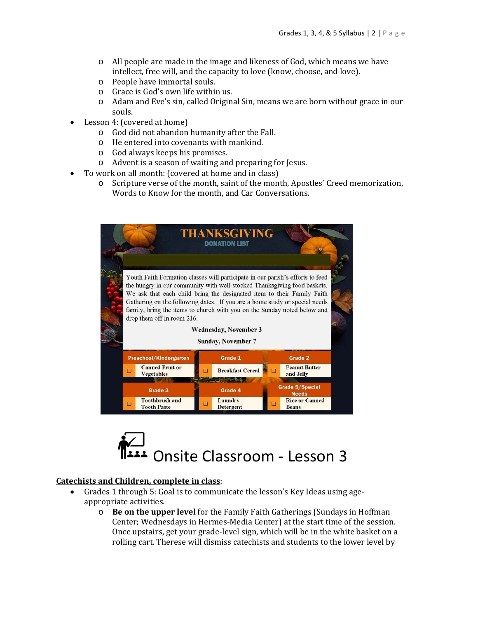- o All people are made in the image and likeness of God, which means we have intellect, free will, and the capacity to love (know, choose, and love).
- o People have immortal souls.
- o Grace is God's own life within us.
- o Adam and Eve's sin, called Original Sin, means we are born without grace in our souls.
- Lesson 4: (covered at home)
	- o God did not abandon humanity after the Fall.
	- o He entered into covenants with mankind.
	- o God always keeps his promises.
	- o Advent is a season of waiting and preparing for Jesus.
- To work on all month: (covered at home and in class)
	- o Scripture verse of the month, saint of the month, Apostles' Creed memorization, Words to Know for the month, and Car Conversations.





#### **Catechists and Children, complete in class**:

- Grades 1 through 5: Goal is to communicate the lesson's Key Ideas using ageappropriate activities.
	- o **Be on the upper level** for the Family Faith Gatherings (Sundays in Hoffman Center; Wednesdays in Hermes-Media Center) at the start time of the session. Once upstairs, get your grade-level sign, which will be in the white basket on a rolling cart. Therese will dismiss catechists and students to the lower level by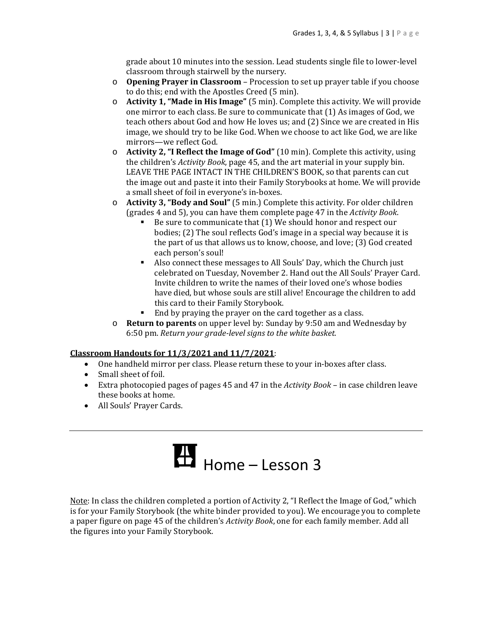grade about 10 minutes into the session. Lead students single file to lower-level classroom through stairwell by the nursery.

- o **Opening Prayer in Classroom** Procession to set up prayer table if you choose to do this; end with the Apostles Creed (5 min).
- o **Activity 1, "Made in His Image"** (5 min). Complete this activity. We will provide one mirror to each class. Be sure to communicate that (1) As images of God, we teach others about God and how He loves us; and (2) Since we are created in His image, we should try to be like God. When we choose to act like God, we are like mirrors—we reflect God.
- o **Activity 2, "I Reflect the Image of God"** (10 min). Complete this activity, using the children's *Activity Book*, page 45, and the art material in your supply bin. LEAVE THE PAGE INTACT IN THE CHILDREN'S BOOK, so that parents can cut the image out and paste it into their Family Storybooks at home. We will provide a small sheet of foil in everyone's in-boxes.
- o **Activity 3, "Body and Soul"** (5 min.) Complete this activity. For older children (grades 4 and 5), you can have them complete page 47 in the *Activity Book*.
	- Be sure to communicate that (1) We should honor and respect our bodies; (2) The soul reflects God's image in a special way because it is the part of us that allows us to know, choose, and love; (3) God created each person's soul!
	- Also connect these messages to All Souls' Day, which the Church just celebrated on Tuesday, November 2. Hand out the All Souls' Prayer Card. Invite children to write the names of their loved one's whose bodies have died, but whose souls are still alive! Encourage the children to add this card to their Family Storybook.
	- End by praying the prayer on the card together as a class.
- o **Return to parents** on upper level by: Sunday by 9:50 am and Wednesday by 6:50 pm. *Return your grade‐level signs to the white basket.*

#### **Classroom Handouts for 11/3/2021 and 11/7/2021**:

- One handheld mirror per class. Please return these to your in-boxes after class.
- Small sheet of foil.
- Extra photocopied pages of pages 45 and 47 in the *Activity Book* in case children leave these books at home.
- All Souls' Prayer Cards.

# $H_{\text{Home} - \text{Lesson 3}}$

Note: In class the children completed a portion of Activity 2, "I Reflect the Image of God," which is for your Family Storybook (the white binder provided to you). We encourage you to complete a paper figure on page 45 of the children's *Activity Book*, one for each family member. Add all the figures into your Family Storybook.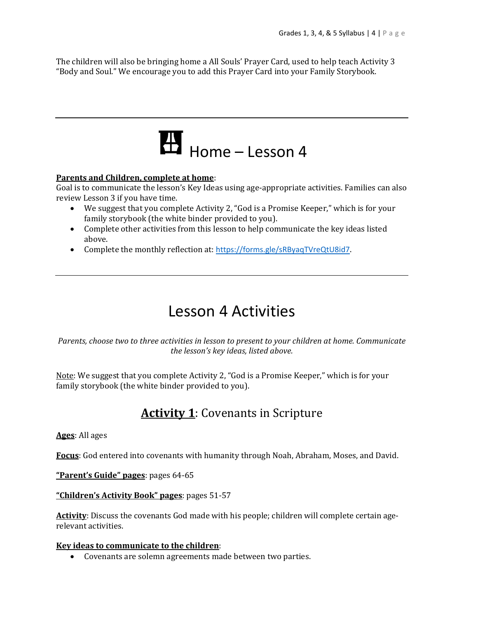The children will also be bringing home a All Souls' Prayer Card, used to help teach Activity 3 "Body and Soul." We encourage you to add this Prayer Card into your Family Storybook.



#### **Parents and Children, complete at home**:

Goal is to communicate the lesson's Key Ideas using age-appropriate activities. Families can also review Lesson 3 if you have time.

- We suggest that you complete Activity 2, "God is a Promise Keeper," which is for your family storybook (the white binder provided to you).
- Complete other activities from this lesson to help communicate the key ideas listed above.
- Complete the monthly reflection at: https://forms.gle/sRByaqTVreQtU8id7.

# Lesson 4 Activities

*Parents, choose two to three activities in lesson to present to your children at home. Communicate the lesson's key ideas, listed above.*

Note: We suggest that you complete Activity 2, "God is a Promise Keeper," which is for your family storybook (the white binder provided to you).

## **Activity 1**: Covenants in Scripture

#### **Ages**: All ages

**Focus**: God entered into covenants with humanity through Noah, Abraham, Moses, and David.

**"Parent's Guide" pages**: pages 64-65

**"Children's Activity Book" pages**: pages 51-57

**Activity**: Discuss the covenants God made with his people; children will complete certain agerelevant activities.

#### **Key ideas to communicate to the children**:

Covenants are solemn agreements made between two parties.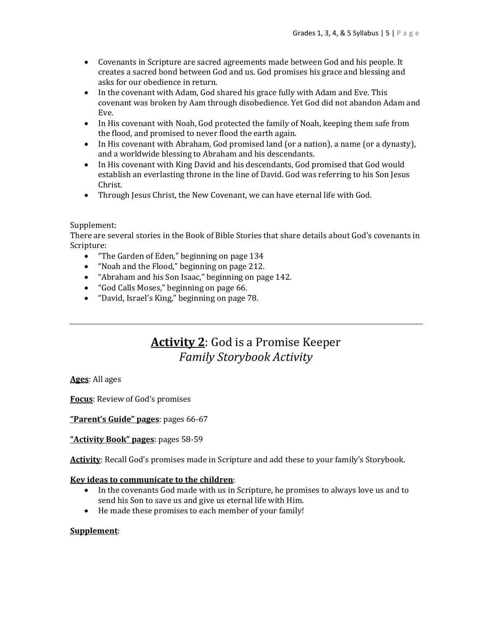- Covenants in Scripture are sacred agreements made between God and his people. It creates a sacred bond between God and us. God promises his grace and blessing and asks for our obedience in return.
- In the covenant with Adam, God shared his grace fully with Adam and Eve. This covenant was broken by Aam through disobedience. Yet God did not abandon Adam and Eve.
- In His covenant with Noah, God protected the family of Noah, keeping them safe from the flood, and promised to never flood the earth again.
- In His covenant with Abraham, God promised land (or a nation), a name (or a dynasty), and a worldwide blessing to Abraham and his descendants.
- In His covenant with King David and his descendants, God promised that God would establish an everlasting throne in the line of David. God was referring to his Son Jesus Christ.
- Through Jesus Christ, the New Covenant, we can have eternal life with God.

#### Supplement:

There are several stories in the Book of Bible Stories that share details about God's covenants in Scripture:

- "The Garden of Eden," beginning on page 134
- "Noah and the Flood," beginning on page 212.
- "Abraham and his Son Isaac," beginning on page 142.
- "God Calls Moses," beginning on page 66.
- "David, Israel's King," beginning on page 78.

### **Activity 2**: God is a Promise Keeper *Family Storybook Activity*

**Ages**: All ages

**Focus**: Review of God's promises

**"Parent's Guide" pages**: pages 66-67

**"Activity Book" pages**: pages 58-59

**Activity**: Recall God's promises made in Scripture and add these to your family's Storybook.

#### **Key ideas to communicate to the children**:

- In the covenants God made with us in Scripture, he promises to always love us and to send his Son to save us and give us eternal life with Him.
- He made these promises to each member of your family!

#### **Supplement**: